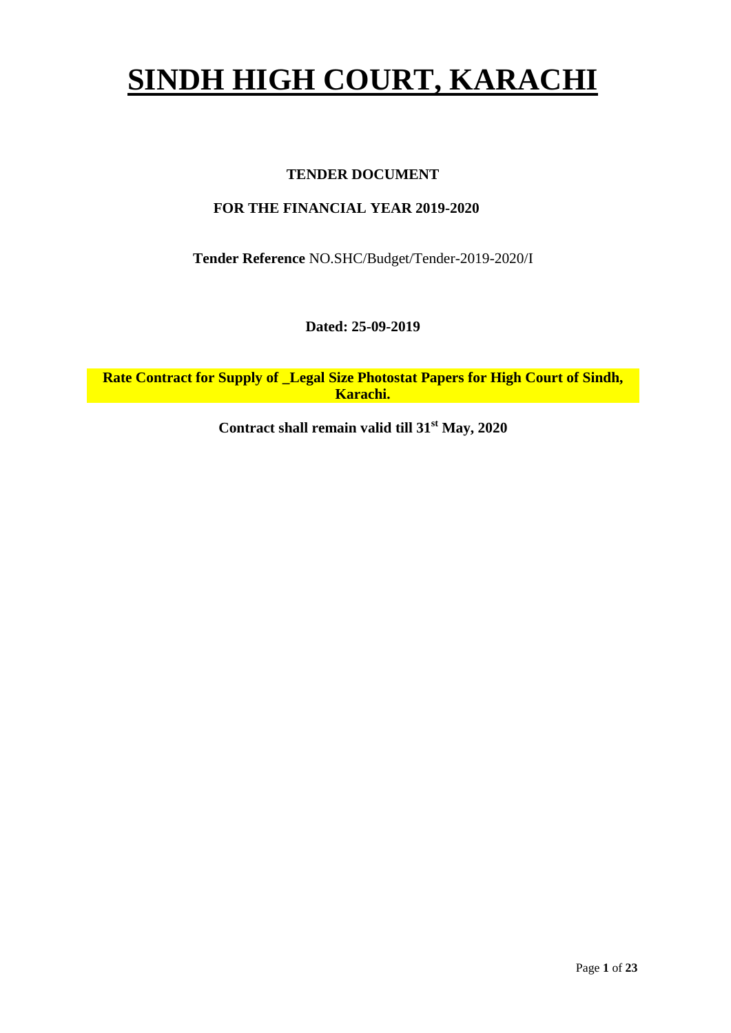# **SINDH HIGH COURT, KARACHI**

### **TENDER DOCUMENT**

### **FOR THE FINANCIAL YEAR 2019-2020**

**Tender Reference** NO.SHC/Budget/Tender-2019-2020/I

**Dated: 25-09-2019**

**Rate Contract for Supply of \_Legal Size Photostat Papers for High Court of Sindh, Karachi.**

**Contract shall remain valid till 31st May, 2020**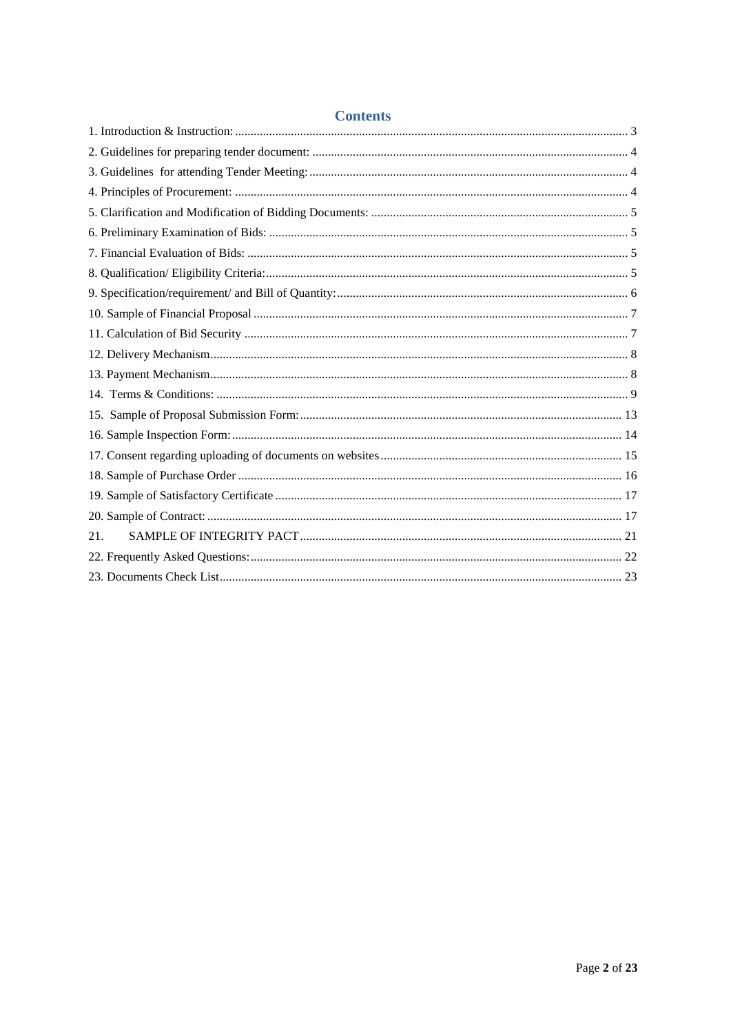| <b>Contents</b> |  |
|-----------------|--|
|                 |  |
|                 |  |
|                 |  |
|                 |  |
|                 |  |
|                 |  |
|                 |  |
|                 |  |
|                 |  |
|                 |  |
|                 |  |
|                 |  |
|                 |  |
|                 |  |
|                 |  |
|                 |  |
|                 |  |
|                 |  |
|                 |  |
|                 |  |
| 21.             |  |
|                 |  |
|                 |  |

Page 2 of 23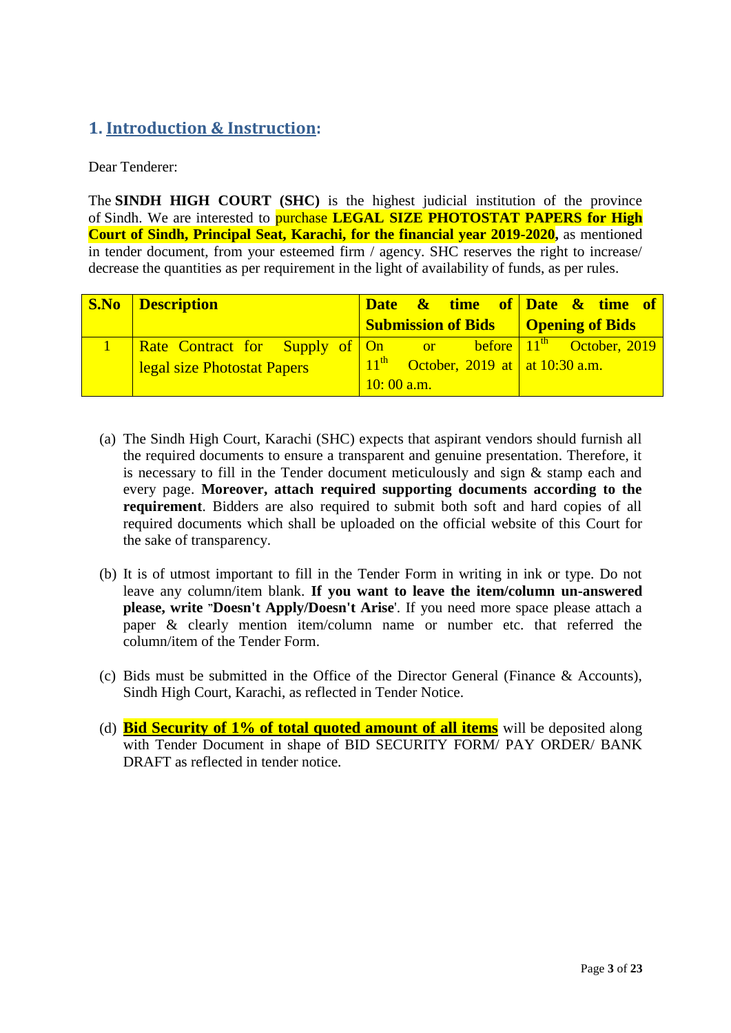# <span id="page-2-0"></span>**1. Introduction & Instruction:**

Dear Tenderer:

The **SINDH HIGH COURT (SHC)** is the highest judicial institution of the province of [Sindh.](https://en.wikipedia.org/wiki/Sindh) We are interested to purchase **LEGAL SIZE PHOTOSTAT PAPERS for High Court of Sindh, Principal Seat, Karachi, for the financial year 2019-2020,** as mentioned in tender document, from your esteemed firm / agency. SHC reserves the right to increase/ decrease the quantities as per requirement in the light of availability of funds, as per rules.

| <b>S.No Description</b>                                       |              | Date & time of Date & time of               |  |  |  |
|---------------------------------------------------------------|--------------|---------------------------------------------|--|--|--|
|                                                               |              | <b>Submission of Bids</b>   Opening of Bids |  |  |  |
| Rate Contract for Supply of On or before $11th$ October, 2019 |              |                                             |  |  |  |
| legal size Photostat Papers                                   |              | $11th$ October, 2019 at at 10:30 a.m.       |  |  |  |
|                                                               | $10:00$ a.m. |                                             |  |  |  |

- (a) The Sindh High Court, Karachi (SHC) expects that aspirant vendors should furnish all the required documents to ensure a transparent and genuine presentation. Therefore, it is necessary to fill in the Tender document meticulously and sign & stamp each and every page. **Moreover, attach required supporting documents according to the requirement**. Bidders are also required to submit both soft and hard copies of all required documents which shall be uploaded on the official website of this Court for the sake of transparency.
- (b) It is of utmost important to fill in the Tender Form in writing in ink or type. Do not leave any column/item blank. **If you want to leave the item/column un-answered please, write "Doesn't Apply/Doesn't Arise**'. If you need more space please attach a paper & clearly mention item/column name or number etc. that referred the column/item of the Tender Form.
- (c) Bids must be submitted in the Office of the Director General (Finance & Accounts), Sindh High Court, Karachi, as reflected in Tender Notice.
- (d) **Bid Security of 1% of total quoted amount of all items** will be deposited along with Tender Document in shape of BID SECURITY FORM/ PAY ORDER/ BANK DRAFT as reflected in tender notice.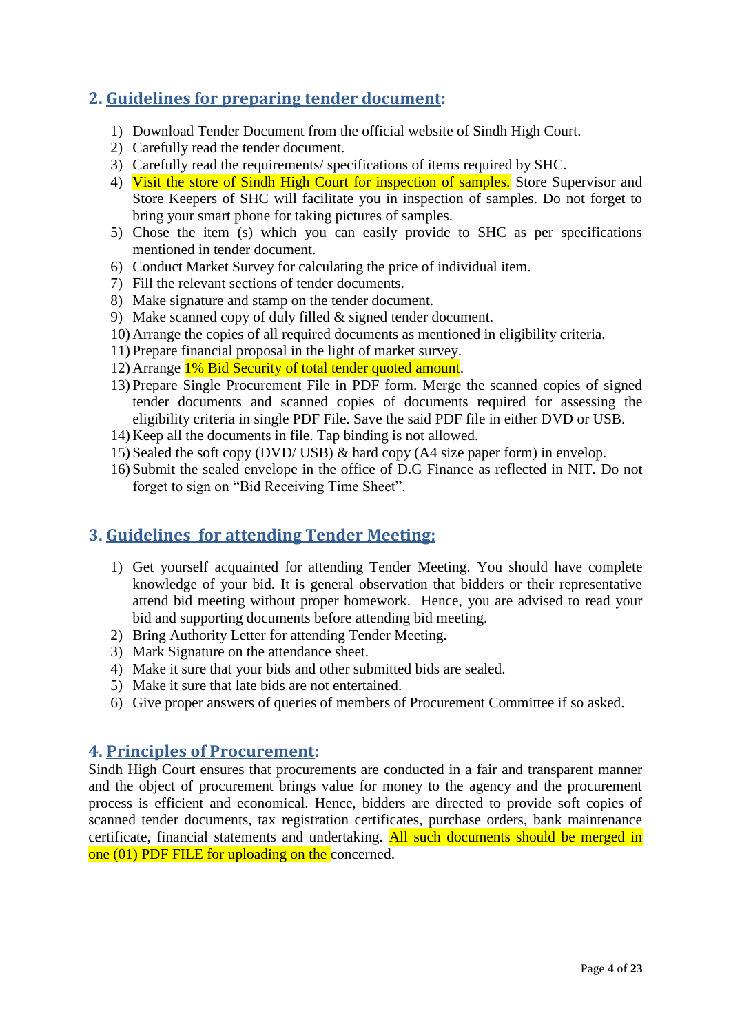# <span id="page-3-0"></span>**2. Guidelines for preparing tender document:**

- 1) Download Tender Document from the official website of Sindh High Court.
- 2) Carefully read the tender document.
- 3) Carefully read the requirements/ specifications of items required by SHC.
- 4) Visit the store of Sindh High Court for inspection of samples. Store Supervisor and Store Keepers of SHC will facilitate you in inspection of samples. Do not forget to bring your smart phone for taking pictures of samples.
- 5) Chose the item (s) which you can easily provide to SHC as per specifications mentioned in tender document.
- 6) Conduct Market Survey for calculating the price of individual item.
- 7) Fill the relevant sections of tender documents.
- 8) Make signature and stamp on the tender document.
- 9) Make scanned copy of duly filled & signed tender document.
- 10) Arrange the copies of all required documents as mentioned in eligibility criteria.
- 11) Prepare financial proposal in the light of market survey.
- 12) Arrange 1% Bid Security of total tender quoted amount.
- 13) Prepare Single Procurement File in PDF form. Merge the scanned copies of signed tender documents and scanned copies of documents required for assessing the eligibility criteria in single PDF File. Save the said PDF file in either DVD or USB.
- 14) Keep all the documents in file. Tap binding is not allowed.
- 15) Sealed the soft copy (DVD/ USB) & hard copy (A4 size paper form) in envelop.
- 16) Submit the sealed envelope in the office of D.G Finance as reflected in NIT. Do not forget to sign on "Bid Receiving Time Sheet".

# <span id="page-3-1"></span>**3. Guidelines for attending Tender Meeting:**

- 1) Get yourself acquainted for attending Tender Meeting. You should have complete knowledge of your bid. It is general observation that bidders or their representative attend bid meeting without proper homework. Hence, you are advised to read your bid and supporting documents before attending bid meeting.
- 2) Bring Authority Letter for attending Tender Meeting.
- 3) Mark Signature on the attendance sheet.
- 4) Make it sure that your bids and other submitted bids are sealed.
- 5) Make it sure that late bids are not entertained.
- <span id="page-3-2"></span>6) Give proper answers of queries of members of Procurement Committee if so asked.

### **4. Principles of Procurement:**

Sindh High Court ensures that procurements are conducted in a fair and transparent manner and the object of procurement brings value for money to the agency and the procurement process is efficient and economical. Hence, bidders are directed to provide soft copies of scanned tender documents, tax registration certificates, purchase orders, bank maintenance certificate, financial statements and undertaking. All such documents should be merged in one (01) PDF FILE for uploading on the concerned.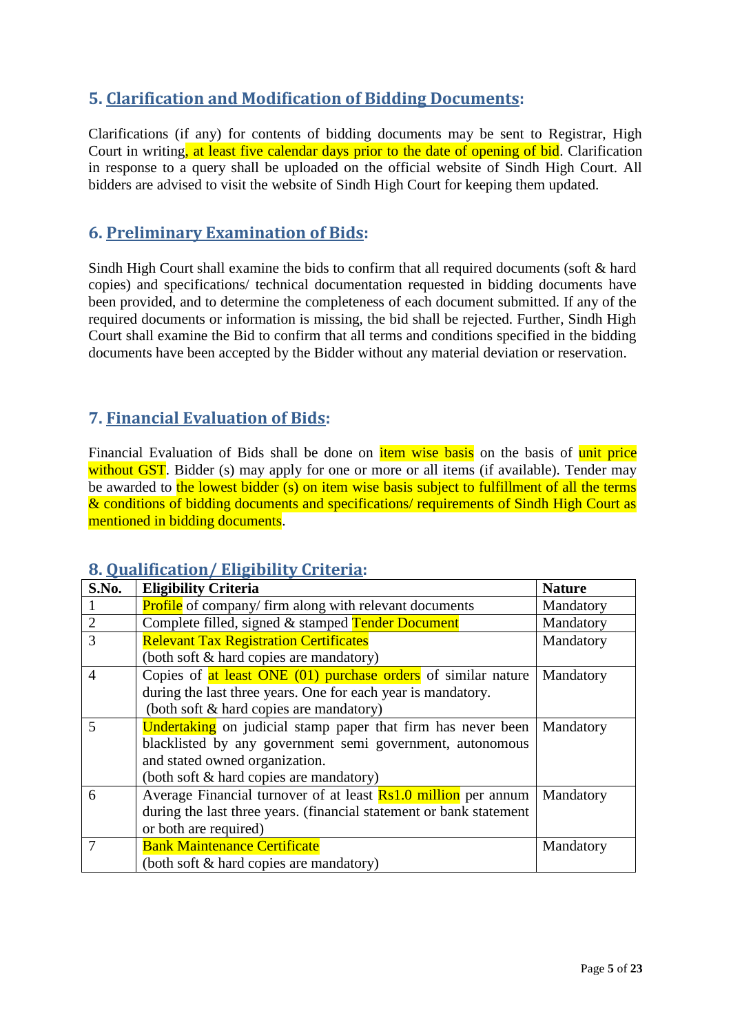# <span id="page-4-0"></span>**5. Clarification and Modification of Bidding Documents:**

Clarifications (if any) for contents of bidding documents may be sent to Registrar, High Court in writing, at least five calendar days prior to the date of opening of bid. Clarification in response to a query shall be uploaded on the official website of Sindh High Court. All bidders are advised to visit the website of Sindh High Court for keeping them updated.

# <span id="page-4-1"></span>**6. Preliminary Examination of Bids:**

Sindh High Court shall examine the bids to confirm that all required documents (soft & hard copies) and specifications/ technical documentation requested in bidding documents have been provided, and to determine the completeness of each document submitted. If any of the required documents or information is missing, the bid shall be rejected. Further, Sindh High Court shall examine the Bid to confirm that all terms and conditions specified in the bidding documents have been accepted by the Bidder without any material deviation or reservation.

# <span id="page-4-2"></span>**7. Financial Evaluation of Bids:**

Financial Evaluation of Bids shall be done on *item wise basis* on the basis of unit price without GST. Bidder (s) may apply for one or more or all items (if available). Tender may be awarded to the lowest bidder (s) on item wise basis subject to fulfillment of all the terms & conditions of bidding documents and specifications/ requirements of Sindh High Court as mentioned in bidding documents.

### <span id="page-4-3"></span>**8. Qualification/ Eligibility Criteria:**

| S.No.          | <b>Eligibility Criteria</b>                                           | <b>Nature</b> |
|----------------|-----------------------------------------------------------------------|---------------|
|                | <b>Profile</b> of company/firm along with relevant documents          | Mandatory     |
| $\overline{2}$ | Complete filled, signed & stamped Tender Document                     | Mandatory     |
| 3              | <b>Relevant Tax Registration Certificates</b>                         | Mandatory     |
|                | (both soft & hard copies are mandatory)                               |               |
| $\overline{A}$ | Copies of at least ONE (01) purchase orders of similar nature         | Mandatory     |
|                | during the last three years. One for each year is mandatory.          |               |
|                | (both soft & hard copies are mandatory)                               |               |
| 5              | <b>Undertaking</b> on judicial stamp paper that firm has never been   | Mandatory     |
|                | blacklisted by any government semi government, autonomous             |               |
|                | and stated owned organization.                                        |               |
|                | (both soft & hard copies are mandatory)                               |               |
| 6              | Average Financial turnover of at least <b>Rs1.0 million</b> per annum | Mandatory     |
|                | during the last three years. (financial statement or bank statement   |               |
|                | or both are required)                                                 |               |
|                | <b>Bank Maintenance Certificate</b>                                   | Mandatory     |
|                | (both soft & hard copies are mandatory)                               |               |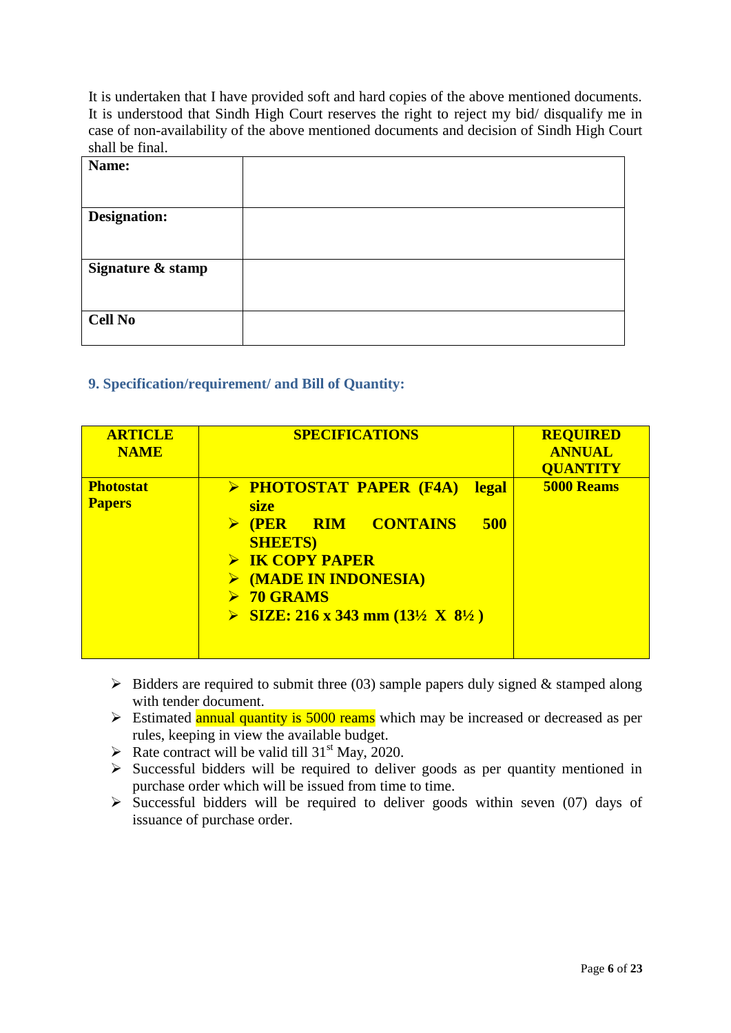It is undertaken that I have provided soft and hard copies of the above mentioned documents. It is understood that Sindh High Court reserves the right to reject my bid/ disqualify me in case of non-availability of the above mentioned documents and decision of Sindh High Court shall be final.

| Name:               |  |
|---------------------|--|
|                     |  |
|                     |  |
| <b>Designation:</b> |  |
|                     |  |
|                     |  |
| Signature & stamp   |  |
|                     |  |
|                     |  |
| <b>Cell No</b>      |  |
|                     |  |

### <span id="page-5-0"></span>**9. Specification/requirement/ and Bill of Quantity:**

| <b>ARTICLE</b><br><b>NAME</b>     | <b>SPECIFICATIONS</b>                                                                                                                                                                                                                                                                      | <b>REQUIRED</b><br><b>ANNUAL</b><br><b>QUANTITY</b> |
|-----------------------------------|--------------------------------------------------------------------------------------------------------------------------------------------------------------------------------------------------------------------------------------------------------------------------------------------|-----------------------------------------------------|
| <b>Photostat</b><br><b>Papers</b> | > PHOTOSTAT PAPER (F4A)<br><b>legal</b><br><b>size</b><br><b>RIM CONTAINS</b><br>500<br><b>(PER)</b><br><b>SHEETS</b> )<br>$\triangleright$ IK COPY PAPER<br>$\triangleright$ (MADE IN INDONESIA)<br>$\triangleright$ 70 GRAMS<br>SIZE: 216 x 343 mm $(13\frac{1}{2} \times 8\frac{1}{2})$ | <b>5000 Reams</b>                                   |

- $\triangleright$  Bidders are required to submit three (03) sample papers duly signed & stamped along with tender document.
- $\triangleright$  Estimated **annual quantity is 5000 reams** which may be increased or decreased as per rules, keeping in view the available budget.
- Rate contract will be valid till  $31<sup>st</sup>$  May, 2020.
- $\triangleright$  Successful bidders will be required to deliver goods as per quantity mentioned in purchase order which will be issued from time to time.
- $\triangleright$  Successful bidders will be required to deliver goods within seven (07) days of issuance of purchase order.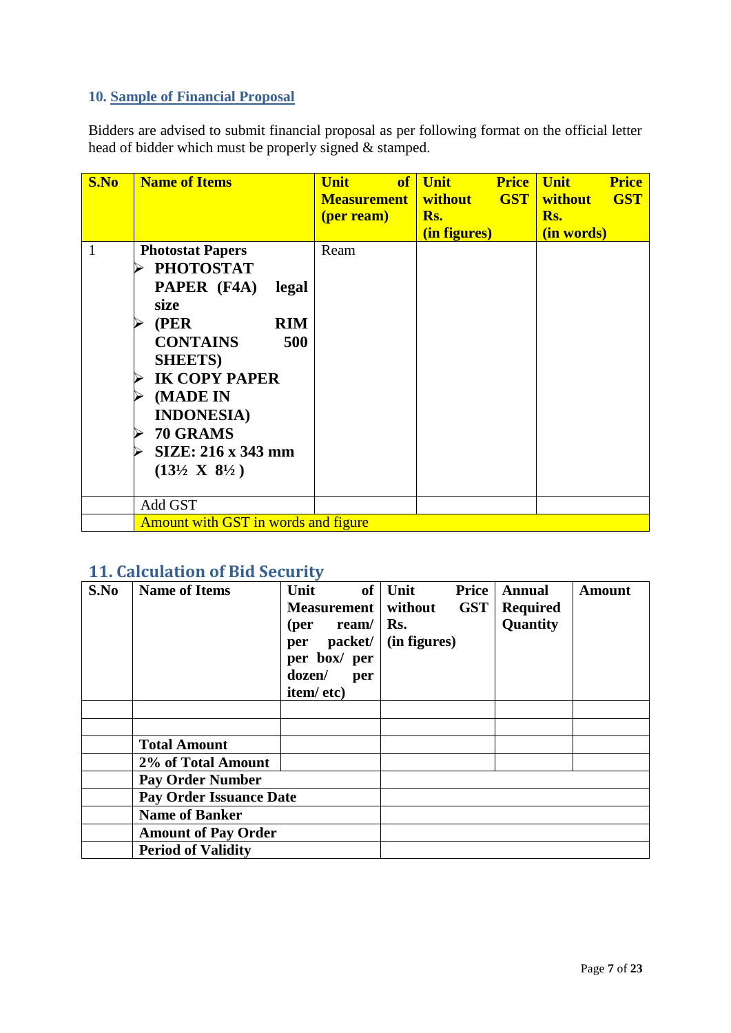## <span id="page-6-0"></span>**10. Sample of Financial Proposal**

Bidders are advised to submit financial proposal as per following format on the official letter head of bidder which must be properly signed & stamped.

| S.No         | <b>Name of Items</b>                                                                                                                                                                                                                                                           | <b>Unit</b><br>of<br><b>Measurement</b><br>(per ream) | <b>Unit</b><br><b>Price</b><br><b>GST</b><br>without<br>Rs.<br>(in figures) | <b>Unit</b><br><b>Price</b><br><b>GST</b><br>without<br>Rs.<br>(in words) |
|--------------|--------------------------------------------------------------------------------------------------------------------------------------------------------------------------------------------------------------------------------------------------------------------------------|-------------------------------------------------------|-----------------------------------------------------------------------------|---------------------------------------------------------------------------|
| $\mathbf{1}$ | <b>Photostat Papers</b><br><b>PHOTOSTAT</b><br>PAPER (F4A)<br>legal<br>size<br>(PER<br><b>RIM</b><br><b>CONTAINS</b><br>500<br><b>SHEETS</b> )<br><b>IK COPY PAPER</b><br>(MADE IN<br><b>INDONESIA</b> )<br>70 GRAMS<br>SIZE: 216 x 343 mm<br>$(13\frac{1}{2} X 8\frac{1}{2})$ | Ream                                                  |                                                                             |                                                                           |
|              | Add GST                                                                                                                                                                                                                                                                        |                                                       |                                                                             |                                                                           |
|              | <b>Amount with GST in words and figure</b>                                                                                                                                                                                                                                     |                                                       |                                                                             |                                                                           |

# <span id="page-6-1"></span>**11. Calculation of Bid Security**

| S.No | <b>Name of Items</b>           | Unit               | of $\vert$ Unit | Price      | <b>Annual</b> | Amount |
|------|--------------------------------|--------------------|-----------------|------------|---------------|--------|
|      |                                | <b>Measurement</b> | without         | <b>GST</b> | Required      |        |
|      |                                | ream/<br>(per      | Rs.             |            | Quantity      |        |
|      |                                | packet/<br>per     | (in figures)    |            |               |        |
|      |                                | per box/ per       |                 |            |               |        |
|      |                                | dozen/<br>per      |                 |            |               |        |
|      |                                | item/etc)          |                 |            |               |        |
|      |                                |                    |                 |            |               |        |
|      |                                |                    |                 |            |               |        |
|      | <b>Total Amount</b>            |                    |                 |            |               |        |
|      | 2% of Total Amount             |                    |                 |            |               |        |
|      | <b>Pay Order Number</b>        |                    |                 |            |               |        |
|      | <b>Pay Order Issuance Date</b> |                    |                 |            |               |        |
|      | <b>Name of Banker</b>          |                    |                 |            |               |        |
|      | <b>Amount of Pay Order</b>     |                    |                 |            |               |        |
|      | <b>Period of Validity</b>      |                    |                 |            |               |        |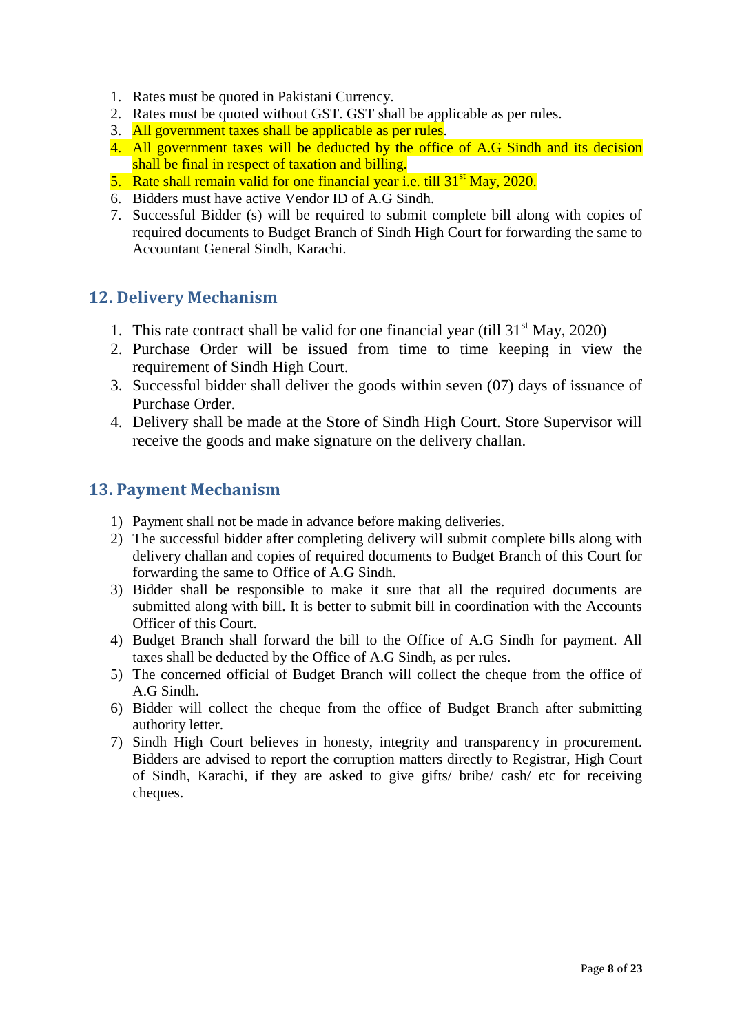- 1. Rates must be quoted in Pakistani Currency.
- 2. Rates must be quoted without GST. GST shall be applicable as per rules.
- 3. All government taxes shall be applicable as per rules.
- 4. All government taxes will be deducted by the office of A.G Sindh and its decision shall be final in respect of taxation and billing.
- 5. Rate shall remain valid for one financial year i.e. till  $31<sup>st</sup>$  May, 2020.
- 6. Bidders must have active Vendor ID of A.G Sindh.
- 7. Successful Bidder (s) will be required to submit complete bill along with copies of required documents to Budget Branch of Sindh High Court for forwarding the same to Accountant General Sindh, Karachi.

# <span id="page-7-0"></span>**12. Delivery Mechanism**

- 1. This rate contract shall be valid for one financial year (till  $31<sup>st</sup>$  May, 2020)
- 2. Purchase Order will be issued from time to time keeping in view the requirement of Sindh High Court.
- 3. Successful bidder shall deliver the goods within seven (07) days of issuance of Purchase Order.
- 4. Delivery shall be made at the Store of Sindh High Court. Store Supervisor will receive the goods and make signature on the delivery challan.

# <span id="page-7-1"></span>**13. Payment Mechanism**

- 1) Payment shall not be made in advance before making deliveries.
- 2) The successful bidder after completing delivery will submit complete bills along with delivery challan and copies of required documents to Budget Branch of this Court for forwarding the same to Office of A.G Sindh.
- 3) Bidder shall be responsible to make it sure that all the required documents are submitted along with bill. It is better to submit bill in coordination with the Accounts Officer of this Court.
- 4) Budget Branch shall forward the bill to the Office of A.G Sindh for payment. All taxes shall be deducted by the Office of A.G Sindh, as per rules.
- 5) The concerned official of Budget Branch will collect the cheque from the office of A.G Sindh.
- 6) Bidder will collect the cheque from the office of Budget Branch after submitting authority letter.
- 7) Sindh High Court believes in honesty, integrity and transparency in procurement. Bidders are advised to report the corruption matters directly to Registrar, High Court of Sindh, Karachi, if they are asked to give gifts/ bribe/ cash/ etc for receiving cheques.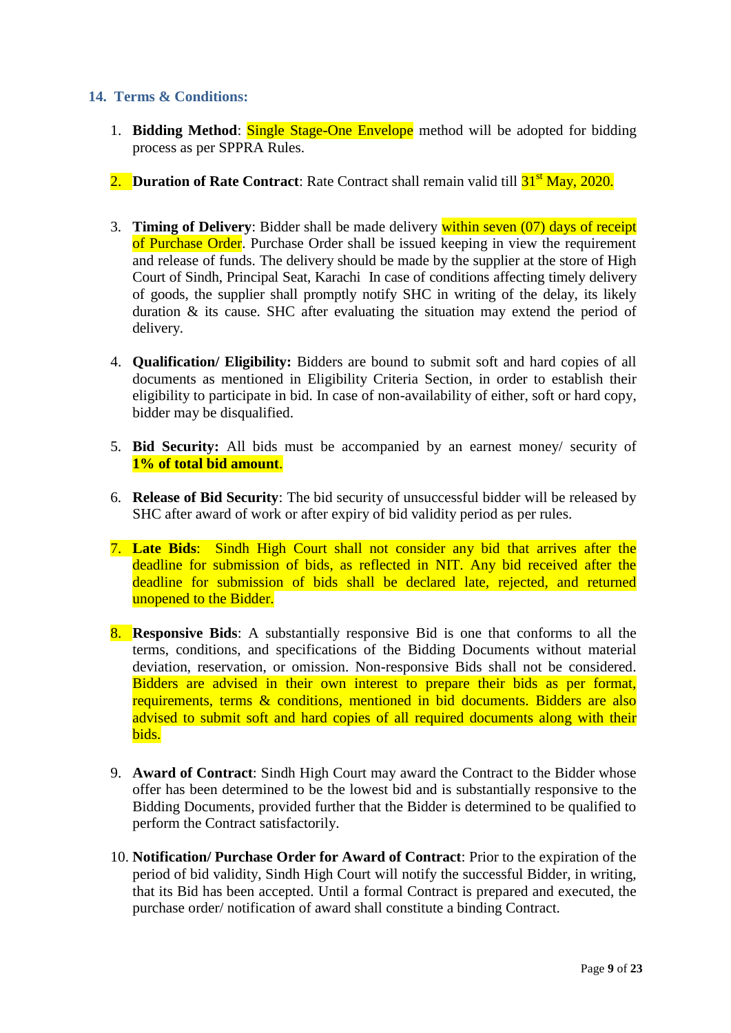### <span id="page-8-0"></span>**14. Terms & Conditions:**

- 1. **Bidding Method**: Single Stage-One Envelope method will be adopted for bidding process as per SPPRA Rules.
- 2. **Duration of Rate Contract**: Rate Contract shall remain valid till  $31<sup>st</sup>$  May, 2020.
- 3. **Timing of Delivery**: Bidder shall be made delivery within seven (07) days of receipt of Purchase Order. Purchase Order shall be issued keeping in view the requirement and release of funds. The delivery should be made by the supplier at the store of High Court of Sindh, Principal Seat, Karachi In case of conditions affecting timely delivery of goods, the supplier shall promptly notify SHC in writing of the delay, its likely duration & its cause. SHC after evaluating the situation may extend the period of delivery.
- 4. **Qualification/ Eligibility:** Bidders are bound to submit soft and hard copies of all documents as mentioned in Eligibility Criteria Section, in order to establish their eligibility to participate in bid. In case of non-availability of either, soft or hard copy, bidder may be disqualified.
- 5. **Bid Security:** All bids must be accompanied by an earnest money/ security of **1% of total bid amount**.
- 6. **Release of Bid Security**: The bid security of unsuccessful bidder will be released by SHC after award of work or after expiry of bid validity period as per rules.
- 7. **Late Bids**: Sindh High Court shall not consider any bid that arrives after the deadline for submission of bids, as reflected in NIT. Any bid received after the deadline for submission of bids shall be declared late, rejected, and returned unopened to the Bidder.
- 8. **Responsive Bids**: A substantially responsive Bid is one that conforms to all the terms, conditions, and specifications of the Bidding Documents without material deviation, reservation, or omission. Non-responsive Bids shall not be considered. Bidders are advised in their own interest to prepare their bids as per format, requirements, terms & conditions, mentioned in bid documents. Bidders are also advised to submit soft and hard copies of all required documents along with their bids.
- 9. **Award of Contract**: Sindh High Court may award the Contract to the Bidder whose offer has been determined to be the lowest bid and is substantially responsive to the Bidding Documents, provided further that the Bidder is determined to be qualified to perform the Contract satisfactorily.
- 10. **Notification/ Purchase Order for Award of Contract**: Prior to the expiration of the period of bid validity, Sindh High Court will notify the successful Bidder, in writing, that its Bid has been accepted. Until a formal Contract is prepared and executed, the purchase order/ notification of award shall constitute a binding Contract.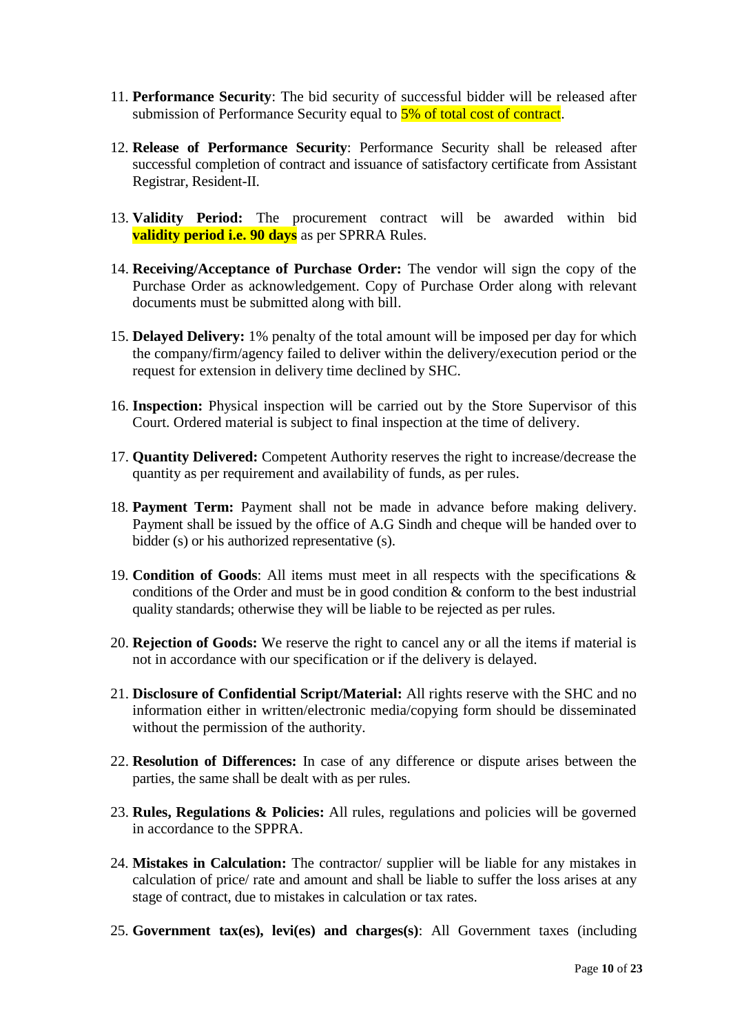- 11. **Performance Security**: The bid security of successful bidder will be released after submission of Performance Security equal to  $\frac{5\%}{5\%}$  of total cost of contract.
- 12. **Release of Performance Security**: Performance Security shall be released after successful completion of contract and issuance of satisfactory certificate from Assistant Registrar, Resident-II.
- 13. **Validity Period:** The procurement contract will be awarded within bid **validity period i.e. 90 days** as per SPRRA Rules.
- 14. **Receiving/Acceptance of Purchase Order:** The vendor will sign the copy of the Purchase Order as acknowledgement. Copy of Purchase Order along with relevant documents must be submitted along with bill.
- 15. **Delayed Delivery:** 1% penalty of the total amount will be imposed per day for which the company/firm/agency failed to deliver within the delivery/execution period or the request for extension in delivery time declined by SHC.
- 16. **Inspection:** Physical inspection will be carried out by the Store Supervisor of this Court. Ordered material is subject to final inspection at the time of delivery.
- 17. **Quantity Delivered:** Competent Authority reserves the right to increase/decrease the quantity as per requirement and availability of funds, as per rules.
- 18. **Payment Term:** Payment shall not be made in advance before making delivery. Payment shall be issued by the office of A.G Sindh and cheque will be handed over to bidder (s) or his authorized representative (s).
- 19. **Condition of Goods**: All items must meet in all respects with the specifications & conditions of the Order and must be in good condition & conform to the best industrial quality standards; otherwise they will be liable to be rejected as per rules.
- 20. **Rejection of Goods:** We reserve the right to cancel any or all the items if material is not in accordance with our specification or if the delivery is delayed.
- 21. **Disclosure of Confidential Script/Material:** All rights reserve with the SHC and no information either in written/electronic media/copying form should be disseminated without the permission of the authority.
- 22. **Resolution of Differences:** In case of any difference or dispute arises between the parties, the same shall be dealt with as per rules.
- 23. **Rules, Regulations & Policies:** All rules, regulations and policies will be governed in accordance to the SPPRA.
- 24. **Mistakes in Calculation:** The contractor/ supplier will be liable for any mistakes in calculation of price/ rate and amount and shall be liable to suffer the loss arises at any stage of contract, due to mistakes in calculation or tax rates.
- 25. **Government tax(es), levi(es) and charges(s)**: All Government taxes (including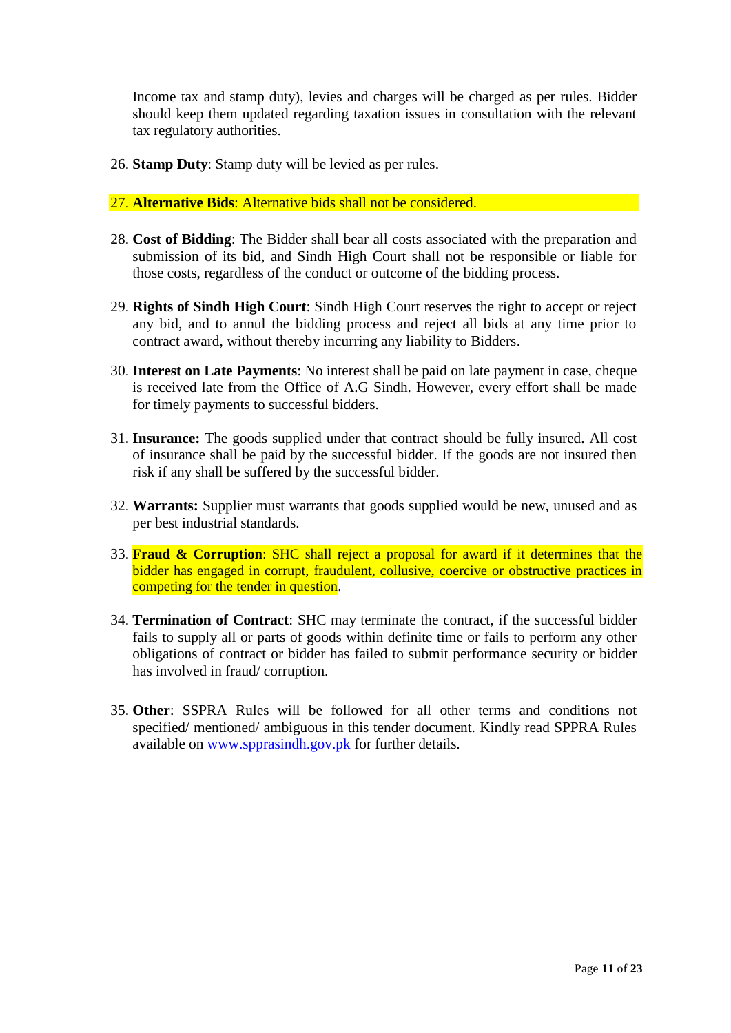Income tax and stamp duty), levies and charges will be charged as per rules. Bidder should keep them updated regarding taxation issues in consultation with the relevant tax regulatory authorities.

26. **Stamp Duty**: Stamp duty will be levied as per rules.

27. **Alternative Bids**: Alternative bids shall not be considered.

- 28. **Cost of Bidding**: The Bidder shall bear all costs associated with the preparation and submission of its bid, and Sindh High Court shall not be responsible or liable for those costs, regardless of the conduct or outcome of the bidding process.
- 29. **Rights of Sindh High Court**: Sindh High Court reserves the right to accept or reject any bid, and to annul the bidding process and reject all bids at any time prior to contract award, without thereby incurring any liability to Bidders.
- 30. **Interest on Late Payments**: No interest shall be paid on late payment in case, cheque is received late from the Office of A.G Sindh. However, every effort shall be made for timely payments to successful bidders.
- 31. **Insurance:** The goods supplied under that contract should be fully insured. All cost of insurance shall be paid by the successful bidder. If the goods are not insured then risk if any shall be suffered by the successful bidder.
- 32. **Warrants:** Supplier must warrants that goods supplied would be new, unused and as per best industrial standards.
- 33. **Fraud & Corruption**: SHC shall reject a proposal for award if it determines that the bidder has engaged in corrupt, fraudulent, collusive, coercive or obstructive practices in competing for the tender in question.
- 34. **Termination of Contract**: SHC may terminate the contract, if the successful bidder fails to supply all or parts of goods within definite time or fails to perform any other obligations of contract or bidder has failed to submit performance security or bidder has involved in fraud/ corruption.
- 35. **Other**: SSPRA Rules will be followed for all other terms and conditions not specified/ mentioned/ ambiguous in this tender document. Kindly read SPPRA Rules available on [www.spprasindh.gov.pk](http://www.spprasindh.gov.pk/) for further details.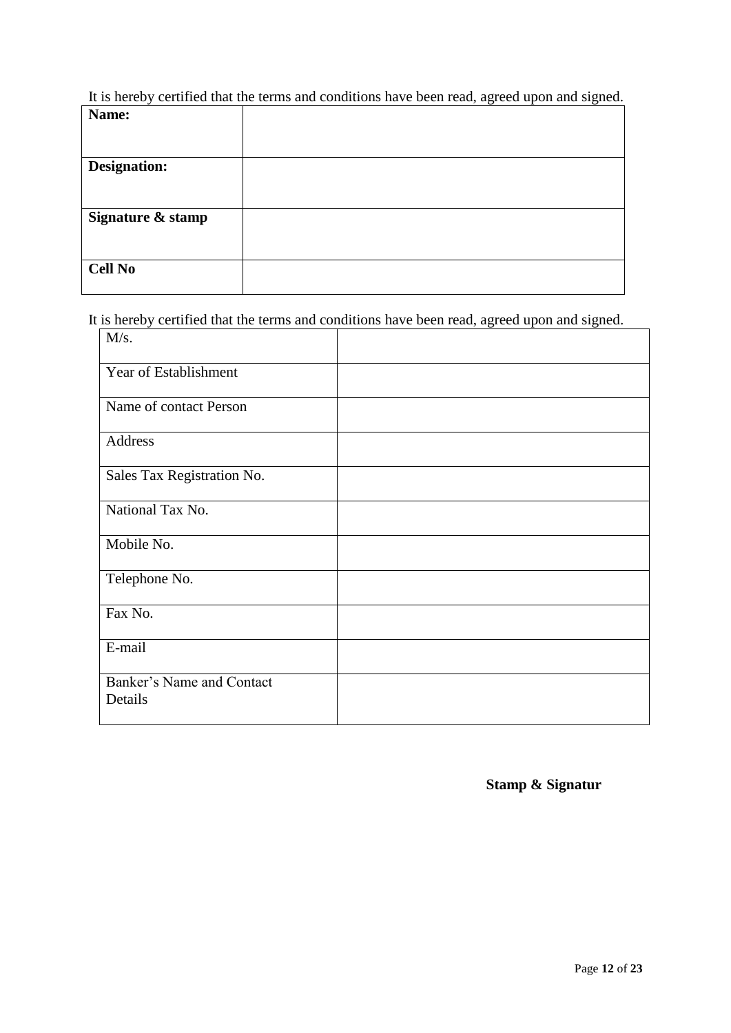It is hereby certified that the terms and conditions have been read, agreed upon and signed.

| Name:               |  |
|---------------------|--|
|                     |  |
|                     |  |
| <b>Designation:</b> |  |
|                     |  |
|                     |  |
| Signature & stamp   |  |
|                     |  |
|                     |  |
| <b>Cell No</b>      |  |
|                     |  |

It is hereby certified that the terms and conditions have been read, agreed upon and signed.

| M/s.                                 |  |
|--------------------------------------|--|
| Year of Establishment                |  |
| Name of contact Person               |  |
| Address                              |  |
| Sales Tax Registration No.           |  |
| National Tax No.                     |  |
| Mobile No.                           |  |
| Telephone No.                        |  |
| Fax No.                              |  |
| E-mail                               |  |
| Banker's Name and Contact<br>Details |  |

**Stamp & Signatur**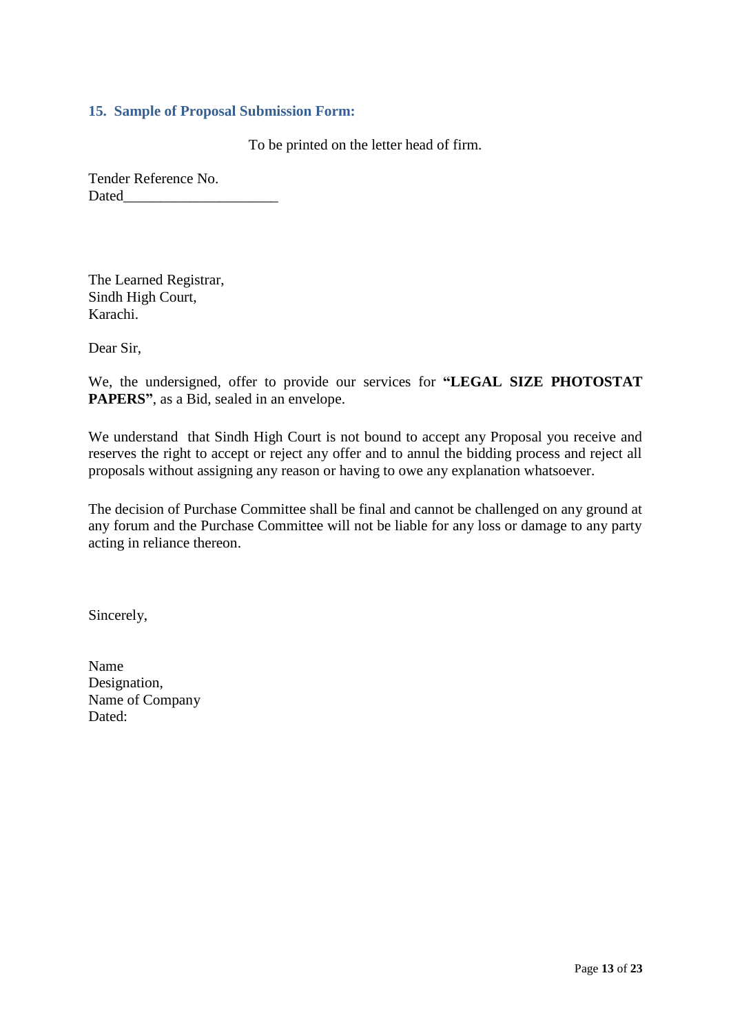### <span id="page-12-0"></span>**15. Sample of Proposal Submission Form:**

To be printed on the letter head of firm.

Tender Reference No. Dated

The Learned Registrar, Sindh High Court, Karachi.

Dear Sir,

We, the undersigned, offer to provide our services for **"LEGAL SIZE PHOTOSTAT PAPERS"**, as a Bid, sealed in an envelope.

We understand that Sindh High Court is not bound to accept any Proposal you receive and reserves the right to accept or reject any offer and to annul the bidding process and reject all proposals without assigning any reason or having to owe any explanation whatsoever.

The decision of Purchase Committee shall be final and cannot be challenged on any ground at any forum and the Purchase Committee will not be liable for any loss or damage to any party acting in reliance thereon.

Sincerely,

Name Designation, Name of Company Dated: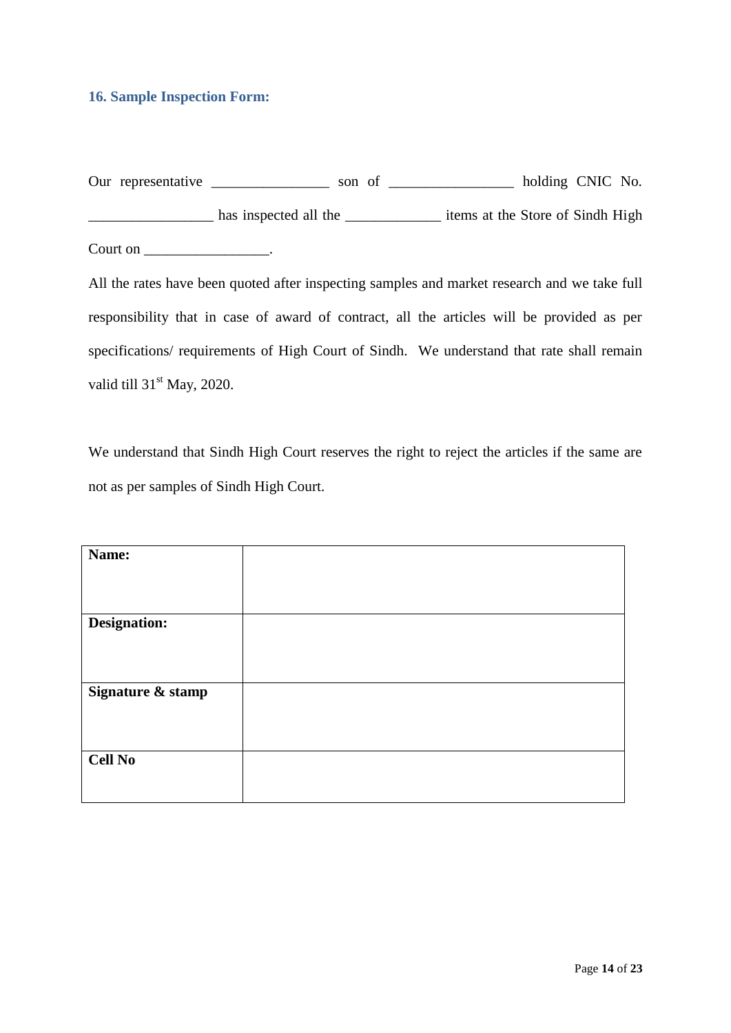### <span id="page-13-0"></span>**16. Sample Inspection Form:**

| Our representative | son of                |                                  | holding CNIC No. |  |
|--------------------|-----------------------|----------------------------------|------------------|--|
|                    | has inspected all the | items at the Store of Sindh High |                  |  |
| Court on           |                       |                                  |                  |  |

All the rates have been quoted after inspecting samples and market research and we take full responsibility that in case of award of contract, all the articles will be provided as per specifications/ requirements of High Court of Sindh. We understand that rate shall remain valid till 31<sup>st</sup> May, 2020.

We understand that Sindh High Court reserves the right to reject the articles if the same are not as per samples of Sindh High Court.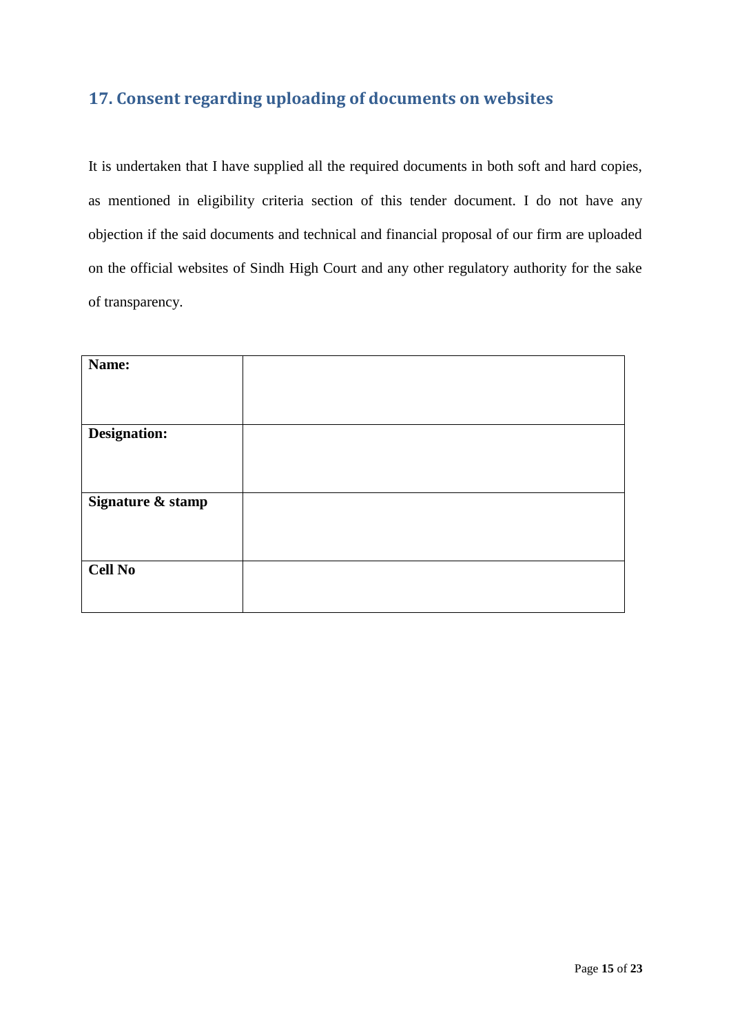# <span id="page-14-0"></span>**17. Consent regarding uploading of documents on websites**

It is undertaken that I have supplied all the required documents in both soft and hard copies, as mentioned in eligibility criteria section of this tender document. I do not have any objection if the said documents and technical and financial proposal of our firm are uploaded on the official websites of Sindh High Court and any other regulatory authority for the sake of transparency.

| Name:             |  |
|-------------------|--|
|                   |  |
|                   |  |
| Designation:      |  |
|                   |  |
|                   |  |
| Signature & stamp |  |
|                   |  |
|                   |  |
| <b>Cell No</b>    |  |
|                   |  |
|                   |  |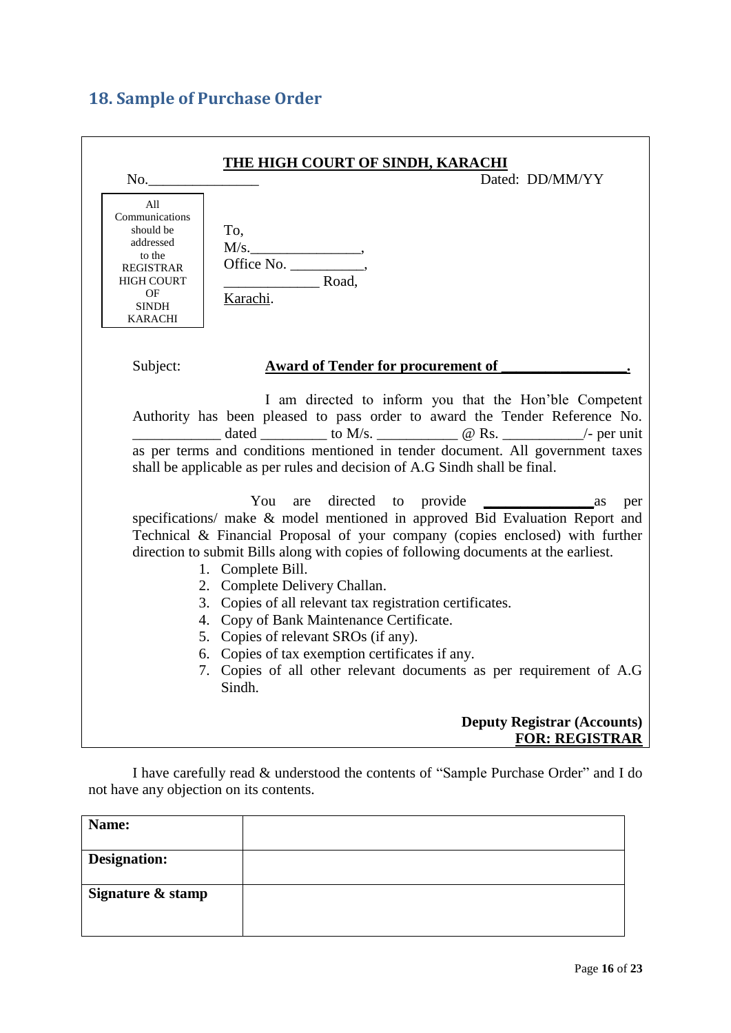# <span id="page-15-0"></span>**18. Sample of Purchase Order**

| <u>THE HIGH COURT OF SINDH, KARACHI</u><br>Dated: DD/MM/YY<br>No.                                                                                                                                                                                                                                                                                                                                                                                                                                                                                                                                                                |
|----------------------------------------------------------------------------------------------------------------------------------------------------------------------------------------------------------------------------------------------------------------------------------------------------------------------------------------------------------------------------------------------------------------------------------------------------------------------------------------------------------------------------------------------------------------------------------------------------------------------------------|
| All<br>Communications<br>should be<br>To,<br>addressed<br>M/s.<br>to the<br><b>REGISTRAR</b><br>Road,<br><b>HIGH COURT</b><br>OF<br>Karachi.<br><b>SINDH</b><br><b>KARACHI</b>                                                                                                                                                                                                                                                                                                                                                                                                                                                   |
| Subject:<br><b>Award of Tender for procurement of</b>                                                                                                                                                                                                                                                                                                                                                                                                                                                                                                                                                                            |
| I am directed to inform you that the Hon'ble Competent<br>Authority has been pleased to pass order to award the Tender Reference No.<br>dated ___________ to M/s. _______________ @ Rs. ____________/- per unit<br>as per terms and conditions mentioned in tender document. All government taxes<br>shall be applicable as per rules and decision of A.G Sindh shall be final.                                                                                                                                                                                                                                                  |
| You<br>$\frac{1}{2}$ as<br>per<br>specifications/ make & model mentioned in approved Bid Evaluation Report and<br>Technical & Financial Proposal of your company (copies enclosed) with further<br>direction to submit Bills along with copies of following documents at the earliest.<br>1. Complete Bill.<br>2. Complete Delivery Challan.<br>3. Copies of all relevant tax registration certificates.<br>4. Copy of Bank Maintenance Certificate.<br>5. Copies of relevant SROs (if any).<br>6. Copies of tax exemption certificates if any.<br>7. Copies of all other relevant documents as per requirement of A.G<br>Sindh. |
| <b>Deputy Registrar (Accounts)</b><br><b>FOR: REGISTRAR</b>                                                                                                                                                                                                                                                                                                                                                                                                                                                                                                                                                                      |

I have carefully read & understood the contents of "Sample Purchase Order" and I do not have any objection on its contents.

| Name:             |  |
|-------------------|--|
| Designation:      |  |
| Signature & stamp |  |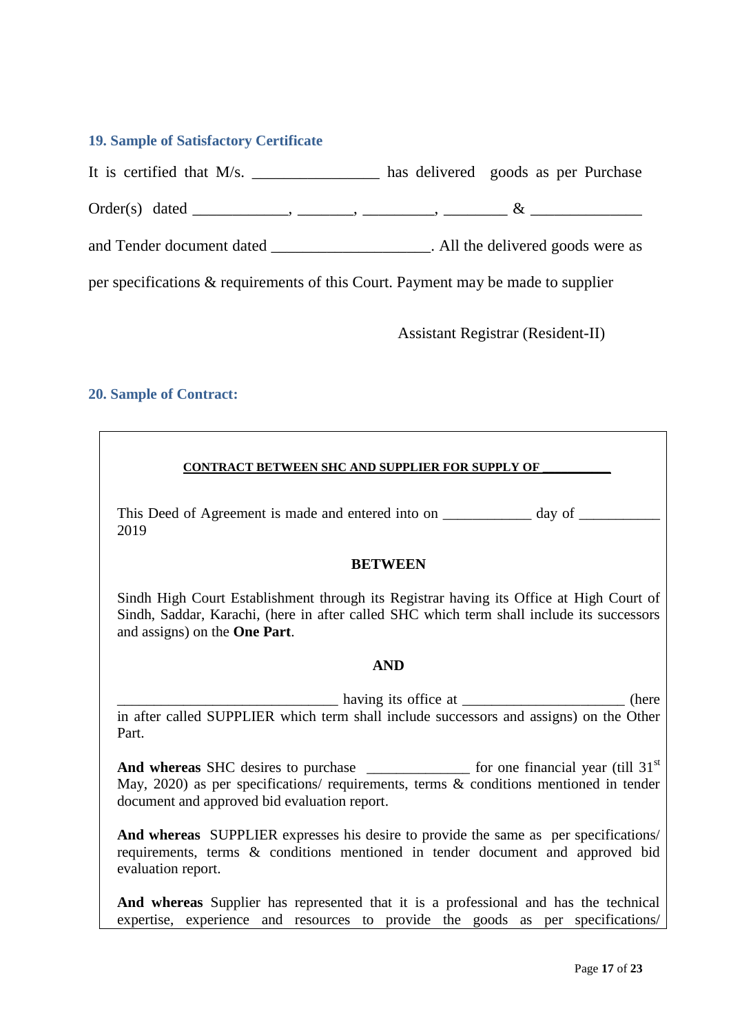### <span id="page-16-0"></span>**19. Sample of Satisfactory Certificate**

It is certified that M/s. \_\_\_\_\_\_\_\_\_\_\_\_\_\_\_\_\_ has delivered goods as per Purchase

Order(s) dated \_\_\_\_\_\_\_\_\_\_\_\_, \_\_\_\_\_\_\_, \_\_\_\_\_\_\_\_\_, \_\_\_\_\_\_\_\_ & \_\_\_\_\_\_\_\_\_\_\_\_\_\_

and Tender document dated \_\_\_\_\_\_\_\_\_\_\_\_\_\_\_\_\_\_\_\_\_\_. All the delivered goods were as

per specifications & requirements of this Court. Payment may be made to supplier

Assistant Registrar (Resident-II)

### <span id="page-16-1"></span>**20. Sample of Contract:**

### **CONTRACT BETWEEN SHC AND SUPPLIER FOR SUPPLY OF \_\_\_\_\_\_\_\_\_\_\_**

This Deed of Agreement is made and entered into on \_\_\_\_\_\_\_\_\_\_ day of \_\_\_\_\_\_\_\_\_\_\_ 2019

#### **BETWEEN**

Sindh High Court Establishment through its Registrar having its Office at High Court of Sindh, Saddar, Karachi, (here in after called SHC which term shall include its successors and assigns) on the **One Part**.

### **AND**

having its office at \_\_\_\_\_\_\_\_\_\_\_\_\_\_\_\_\_\_\_\_\_\_\_\_\_\_ (here in after called SUPPLIER which term shall include successors and assigns) on the Other Part.

And whereas SHC desires to purchase for one financial year (till 31<sup>st</sup>) May, 2020) as per specifications/ requirements, terms & conditions mentioned in tender document and approved bid evaluation report.

**And whereas** SUPPLIER expresses his desire to provide the same as per specifications/ requirements, terms & conditions mentioned in tender document and approved bid evaluation report.

**And whereas** Supplier has represented that it is a professional and has the technical expertise, experience and resources to provide the goods as per specifications/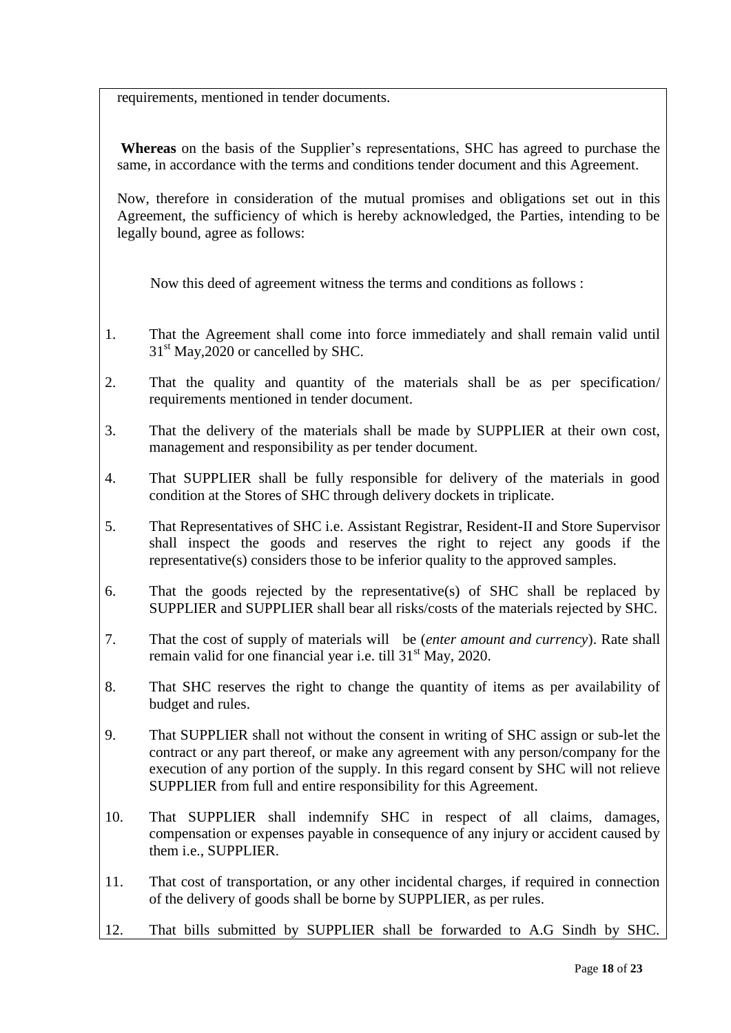requirements, mentioned in tender documents.

**Whereas** on the basis of the Supplier"s representations, SHC has agreed to purchase the same, in accordance with the terms and conditions tender document and this Agreement.

Now, therefore in consideration of the mutual promises and obligations set out in this Agreement, the sufficiency of which is hereby acknowledged, the Parties, intending to be legally bound, agree as follows:

Now this deed of agreement witness the terms and conditions as follows :

- 1. That the Agreement shall come into force immediately and shall remain valid until  $31<sup>st</sup>$  May, 2020 or cancelled by SHC.
- 2. That the quality and quantity of the materials shall be as per specification/ requirements mentioned in tender document.
- 3. That the delivery of the materials shall be made by SUPPLIER at their own cost, management and responsibility as per tender document.
- 4. That SUPPLIER shall be fully responsible for delivery of the materials in good condition at the Stores of SHC through delivery dockets in triplicate.
- 5. That Representatives of SHC i.e. Assistant Registrar, Resident-II and Store Supervisor shall inspect the goods and reserves the right to reject any goods if the representative(s) considers those to be inferior quality to the approved samples.
- 6. That the goods rejected by the representative(s) of SHC shall be replaced by SUPPLIER and SUPPLIER shall bear all risks/costs of the materials rejected by SHC.
- 7. That the cost of supply of materials will be (*enter amount and currency*). Rate shall remain valid for one financial year i.e. till 31<sup>st</sup> May, 2020.
- 8. That SHC reserves the right to change the quantity of items as per availability of budget and rules.
- 9. That SUPPLIER shall not without the consent in writing of SHC assign or sub-let the contract or any part thereof, or make any agreement with any person/company for the execution of any portion of the supply. In this regard consent by SHC will not relieve SUPPLIER from full and entire responsibility for this Agreement.
- 10. That SUPPLIER shall indemnify SHC in respect of all claims, damages, compensation or expenses payable in consequence of any injury or accident caused by them i.e., SUPPLIER.
- 11. That cost of transportation, or any other incidental charges, if required in connection of the delivery of goods shall be borne by SUPPLIER, as per rules.
- 12. That bills submitted by SUPPLIER shall be forwarded to A.G Sindh by SHC.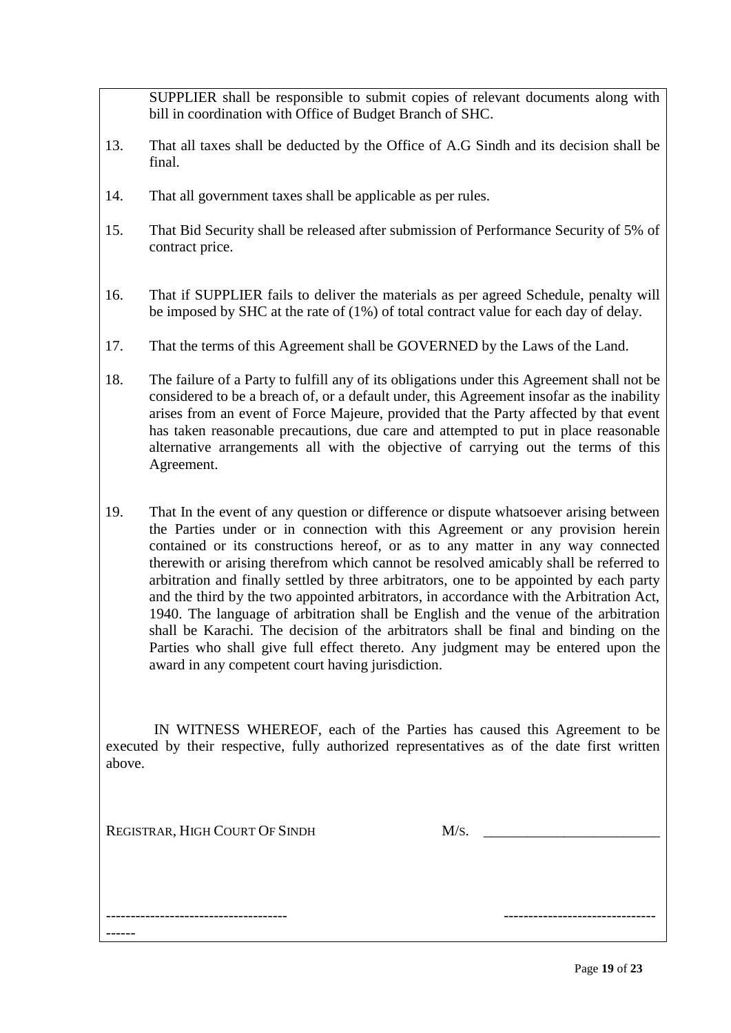SUPPLIER shall be responsible to submit copies of relevant documents along with bill in coordination with Office of Budget Branch of SHC.

- 13. That all taxes shall be deducted by the Office of A.G Sindh and its decision shall be final.
- 14. That all government taxes shall be applicable as per rules.
- 15. That Bid Security shall be released after submission of Performance Security of 5% of contract price.
- 16. That if SUPPLIER fails to deliver the materials as per agreed Schedule, penalty will be imposed by SHC at the rate of (1%) of total contract value for each day of delay.
- 17. That the terms of this Agreement shall be GOVERNED by the Laws of the Land.
- 18. The failure of a Party to fulfill any of its obligations under this Agreement shall not be considered to be a breach of, or a default under, this Agreement insofar as the inability arises from an event of Force Majeure, provided that the Party affected by that event has taken reasonable precautions, due care and attempted to put in place reasonable alternative arrangements all with the objective of carrying out the terms of this Agreement.
- 19. That In the event of any question or difference or dispute whatsoever arising between the Parties under or in connection with this Agreement or any provision herein contained or its constructions hereof, or as to any matter in any way connected therewith or arising therefrom which cannot be resolved amicably shall be referred to arbitration and finally settled by three arbitrators, one to be appointed by each party and the third by the two appointed arbitrators, in accordance with the Arbitration Act, 1940. The language of arbitration shall be English and the venue of the arbitration shall be Karachi. The decision of the arbitrators shall be final and binding on the Parties who shall give full effect thereto. Any judgment may be entered upon the award in any competent court having jurisdiction.

 IN WITNESS WHEREOF, each of the Parties has caused this Agreement to be executed by their respective, fully authorized representatives as of the date first written above.

------------------------------------- -------------------------------

REGISTRAR, HIGH COURT OF SINDH M/S.

------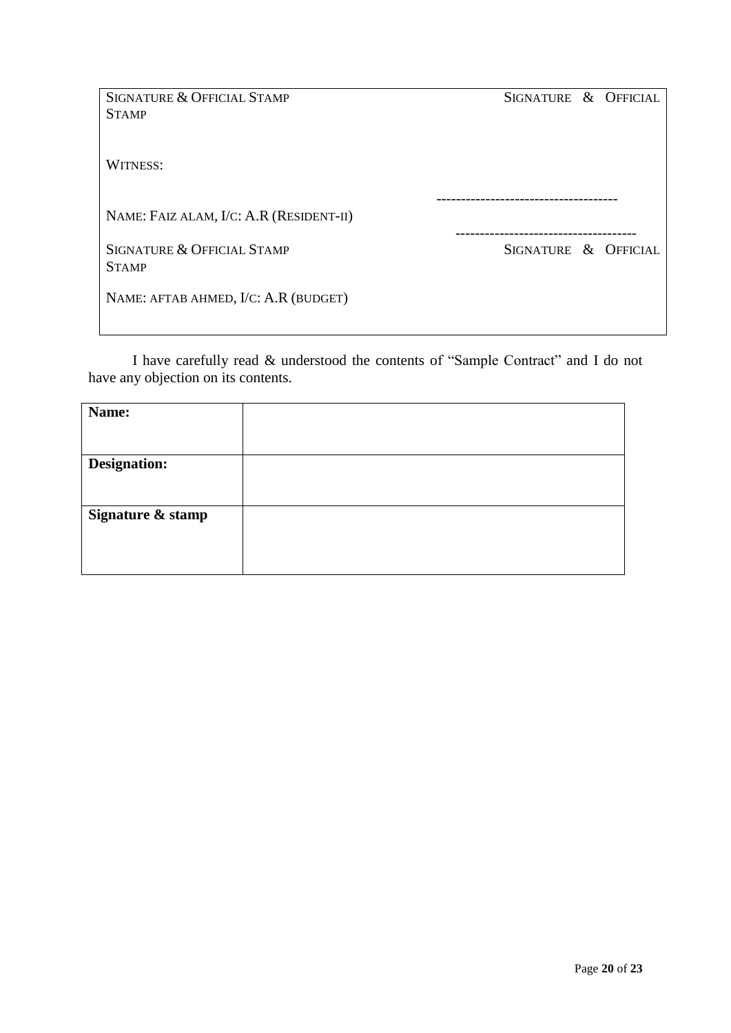| <b>SIGNATURE &amp; OFFICIAL STAMP</b>   | SIGNATURE & OFFICIAL     |  |
|-----------------------------------------|--------------------------|--|
| <b>STAMP</b>                            |                          |  |
|                                         |                          |  |
| <b>WITNESS:</b>                         |                          |  |
|                                         |                          |  |
| NAME: FAIZ ALAM, I/C: A.R (RESIDENT-II) | ------------------------ |  |
| <b>SIGNATURE &amp; OFFICIAL STAMP</b>   | SIGNATURE & OFFICIAL     |  |
| <b>STAMP</b>                            |                          |  |
| NAME: AFTAB AHMED, I/C: A.R (BUDGET)    |                          |  |
|                                         |                          |  |

I have carefully read & understood the contents of "Sample Contract" and I do not have any objection on its contents.

| Name:               |  |
|---------------------|--|
|                     |  |
| <b>Designation:</b> |  |
|                     |  |
| Signature & stamp   |  |
|                     |  |
|                     |  |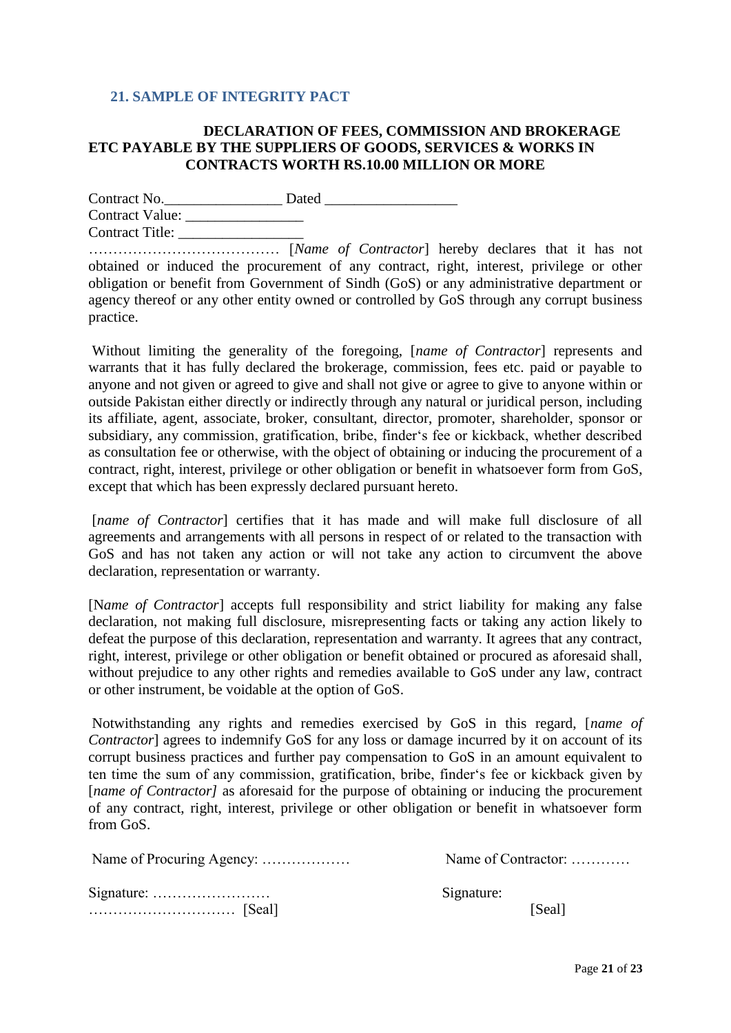### <span id="page-20-0"></span>**21. SAMPLE OF INTEGRITY PACT**

### **DECLARATION OF FEES, COMMISSION AND BROKERAGE ETC PAYABLE BY THE SUPPLIERS OF GOODS, SERVICES & WORKS IN CONTRACTS WORTH RS.10.00 MILLION OR MORE**

Contract No.\_\_\_\_\_\_\_\_\_\_\_\_\_\_\_\_ Dated \_\_\_\_\_\_\_\_\_\_\_\_\_\_\_\_\_\_ Contract Value: \_\_\_\_\_\_\_\_\_\_\_\_\_\_\_\_ Contract Title: \_\_\_\_\_\_\_\_\_\_\_\_\_\_\_\_\_

………………………………… [*Name of Contractor*] hereby declares that it has not obtained or induced the procurement of any contract, right, interest, privilege or other obligation or benefit from Government of Sindh (GoS) or any administrative department or agency thereof or any other entity owned or controlled by GoS through any corrupt business practice.

Without limiting the generality of the foregoing, [*name of Contractor*] represents and warrants that it has fully declared the brokerage, commission, fees etc. paid or payable to anyone and not given or agreed to give and shall not give or agree to give to anyone within or outside Pakistan either directly or indirectly through any natural or juridical person, including its affiliate, agent, associate, broker, consultant, director, promoter, shareholder, sponsor or subsidiary, any commission, gratification, bribe, finder"s fee or kickback, whether described as consultation fee or otherwise, with the object of obtaining or inducing the procurement of a contract, right, interest, privilege or other obligation or benefit in whatsoever form from GoS, except that which has been expressly declared pursuant hereto.

[*name of Contractor*] certifies that it has made and will make full disclosure of all agreements and arrangements with all persons in respect of or related to the transaction with GoS and has not taken any action or will not take any action to circumvent the above declaration, representation or warranty.

[N*ame of Contractor*] accepts full responsibility and strict liability for making any false declaration, not making full disclosure, misrepresenting facts or taking any action likely to defeat the purpose of this declaration, representation and warranty. It agrees that any contract, right, interest, privilege or other obligation or benefit obtained or procured as aforesaid shall, without prejudice to any other rights and remedies available to GoS under any law, contract or other instrument, be voidable at the option of GoS.

Notwithstanding any rights and remedies exercised by GoS in this regard, [*name of Contractor*] agrees to indemnify GoS for any loss or damage incurred by it on account of its corrupt business practices and further pay compensation to GoS in an amount equivalent to ten time the sum of any commission, gratification, bribe, finder"s fee or kickback given by [*name of Contractor*] as aforesaid for the purpose of obtaining or inducing the procurement of any contract, right, interest, privilege or other obligation or benefit in whatsoever form from GoS.

| Name of Contractor: |  |
|---------------------|--|
| Signature:          |  |
| [Seal]              |  |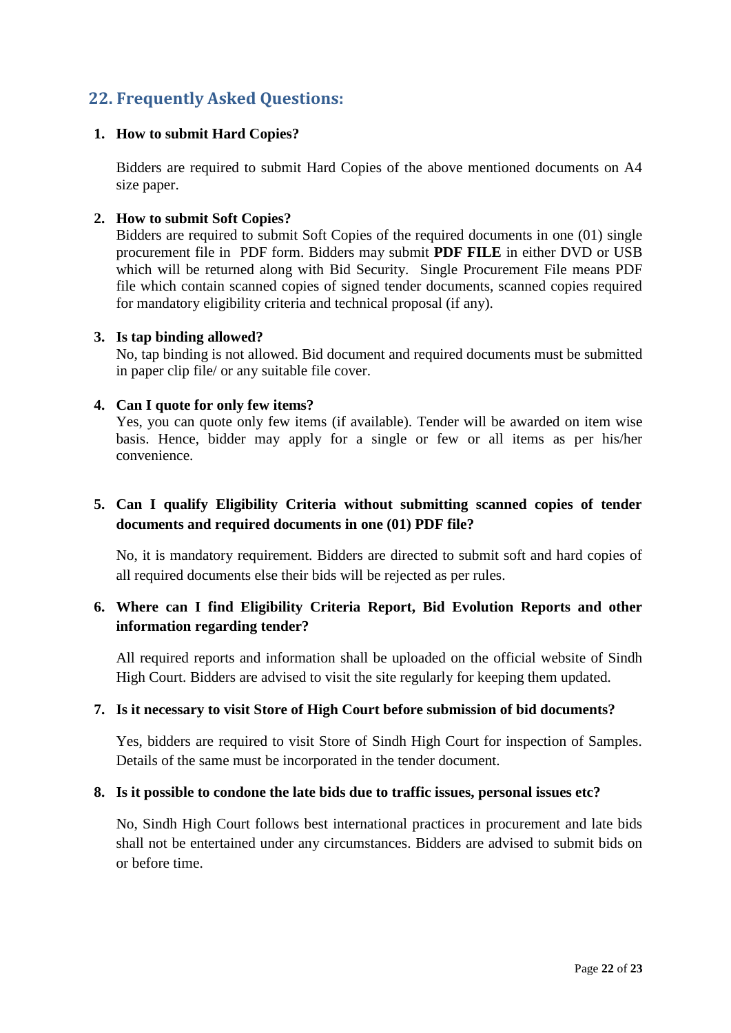# <span id="page-21-0"></span>**22. Frequently Asked Questions:**

### **1. How to submit Hard Copies?**

Bidders are required to submit Hard Copies of the above mentioned documents on A4 size paper.

### **2. How to submit Soft Copies?**

Bidders are required to submit Soft Copies of the required documents in one (01) single procurement file in PDF form. Bidders may submit **PDF FILE** in either DVD or USB which will be returned along with Bid Security. Single Procurement File means PDF file which contain scanned copies of signed tender documents, scanned copies required for mandatory eligibility criteria and technical proposal (if any).

### **3. Is tap binding allowed?**

No, tap binding is not allowed. Bid document and required documents must be submitted in paper clip file/ or any suitable file cover.

### **4. Can I quote for only few items?**

Yes, you can quote only few items (if available). Tender will be awarded on item wise basis. Hence, bidder may apply for a single or few or all items as per his/her convenience.

### **5. Can I qualify Eligibility Criteria without submitting scanned copies of tender documents and required documents in one (01) PDF file?**

No, it is mandatory requirement. Bidders are directed to submit soft and hard copies of all required documents else their bids will be rejected as per rules.

### **6. Where can I find Eligibility Criteria Report, Bid Evolution Reports and other information regarding tender?**

All required reports and information shall be uploaded on the official website of Sindh High Court. Bidders are advised to visit the site regularly for keeping them updated.

### **7. Is it necessary to visit Store of High Court before submission of bid documents?**

Yes, bidders are required to visit Store of Sindh High Court for inspection of Samples. Details of the same must be incorporated in the tender document.

### **8. Is it possible to condone the late bids due to traffic issues, personal issues etc?**

No, Sindh High Court follows best international practices in procurement and late bids shall not be entertained under any circumstances. Bidders are advised to submit bids on or before time.